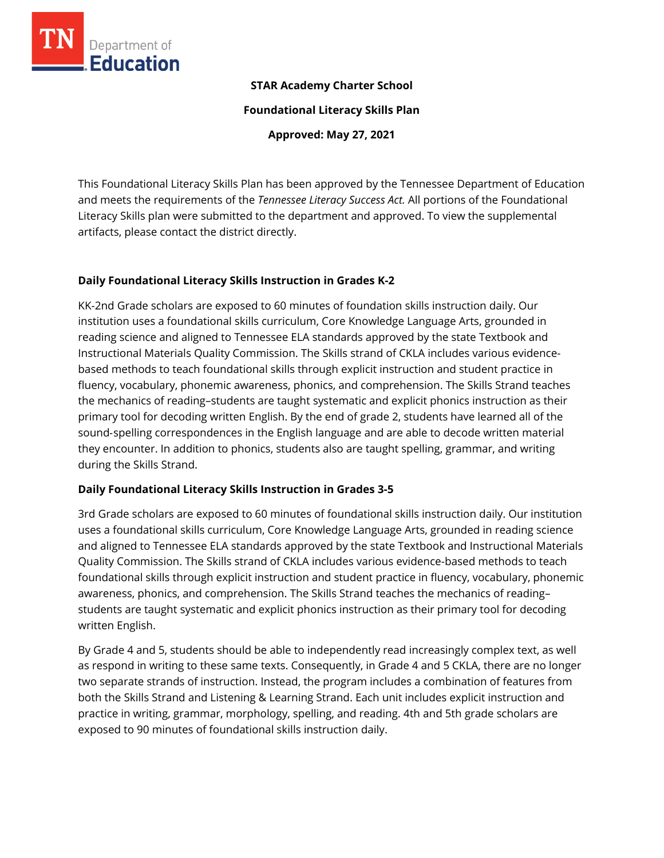

## **STAR Academy Charter School**

**Foundational Literacy Skills Plan**

**Approved: May 27, 2021**

This Foundational Literacy Skills Plan has been approved by the Tennessee Department of Education and meets the requirements of the *Tennessee Literacy Success Act.* All portions of the Foundational Literacy Skills plan were submitted to the department and approved. To view the supplemental artifacts, please contact the district directly.

## **Daily Foundational Literacy Skills Instruction in Grades K-2**

KK-2nd Grade scholars are exposed to 60 minutes of foundation skills instruction daily. Our institution uses a foundational skills curriculum, Core Knowledge Language Arts, grounded in reading science and aligned to Tennessee ELA standards approved by the state Textbook and Instructional Materials Quality Commission. The Skills strand of CKLA includes various evidencebased methods to teach foundational skills through explicit instruction and student practice in fluency, vocabulary, phonemic awareness, phonics, and comprehension. The Skills Strand teaches the mechanics of reading–students are taught systematic and explicit phonics instruction as their primary tool for decoding written English. By the end of grade 2, students have learned all of the sound‐spelling correspondences in the English language and are able to decode written material they encounter. In addition to phonics, students also are taught spelling, grammar, and writing during the Skills Strand.

## **Daily Foundational Literacy Skills Instruction in Grades 3-5**

3rd Grade scholars are exposed to 60 minutes of foundational skills instruction daily. Our institution uses a foundational skills curriculum, Core Knowledge Language Arts, grounded in reading science and aligned to Tennessee ELA standards approved by the state Textbook and Instructional Materials Quality Commission. The Skills strand of CKLA includes various evidence-based methods to teach foundational skills through explicit instruction and student practice in fluency, vocabulary, phonemic awareness, phonics, and comprehension. The Skills Strand teaches the mechanics of reading– students are taught systematic and explicit phonics instruction as their primary tool for decoding written English.

By Grade 4 and 5, students should be able to independently read increasingly complex text, as well as respond in writing to these same texts. Consequently, in Grade 4 and 5 CKLA, there are no longer two separate strands of instruction. Instead, the program includes a combination of features from both the Skills Strand and Listening & Learning Strand. Each unit includes explicit instruction and practice in writing, grammar, morphology, spelling, and reading. 4th and 5th grade scholars are exposed to 90 minutes of foundational skills instruction daily.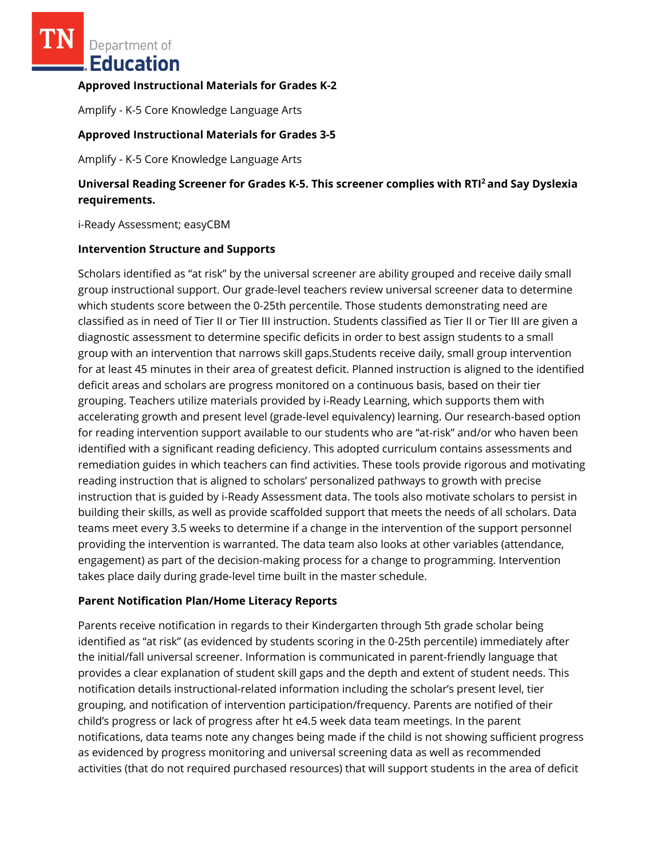Department of Education

#### **Approved Instructional Materials for Grades K-2**

Amplify - K-5 Core Knowledge Language Arts

### **Approved Instructional Materials for Grades 3-5**

Amplify - K-5 Core Knowledge Language Arts

# **Universal Reading Screener for Grades K-5. This screener complies with RTI<sup>2</sup>and Say Dyslexia requirements.**

i-Ready Assessment; easyCBM

#### **Intervention Structure and Supports**

Scholars identified as "at risk" by the universal screener are ability grouped and receive daily small group instructional support. Our grade-level teachers review universal screener data to determine which students score between the 0-25th percentile. Those students demonstrating need are classified as in need of Tier II or Tier III instruction. Students classified as Tier II or Tier III are given a diagnostic assessment to determine specific deficits in order to best assign students to a small group with an intervention that narrows skill gaps.Students receive daily, small group intervention for at least 45 minutes in their area of greatest deficit. Planned instruction is aligned to the identified deficit areas and scholars are progress monitored on a continuous basis, based on their tier grouping. Teachers utilize materials provided by i-Ready Learning, which supports them with accelerating growth and present level (grade-level equivalency) learning. Our research-based option for reading intervention support available to our students who are "at-risk" and/or who haven been identified with a significant reading deficiency. This adopted curriculum contains assessments and remediation guides in which teachers can find activities. These tools provide rigorous and motivating reading instruction that is aligned to scholars' personalized pathways to growth with precise instruction that is guided by i-Ready Assessment data. The tools also motivate scholars to persist in building their skills, as well as provide scaffolded support that meets the needs of all scholars. Data teams meet every 3.5 weeks to determine if a change in the intervention of the support personnel providing the intervention is warranted. The data team also looks at other variables (attendance, engagement) as part of the decision-making process for a change to programming. Intervention takes place daily during grade-level time built in the master schedule.

#### **Parent Notification Plan/Home Literacy Reports**

Parents receive notification in regards to their Kindergarten through 5th grade scholar being identified as "at risk" (as evidenced by students scoring in the 0-25th percentile) immediately after the initial/fall universal screener. Information is communicated in parent-friendly language that provides a clear explanation of student skill gaps and the depth and extent of student needs. This notification details instructional-related information including the scholar's present level, tier grouping, and notification of intervention participation/frequency. Parents are notified of their child's progress or lack of progress after ht e4.5 week data team meetings. In the parent notifications, data teams note any changes being made if the child is not showing sufficient progress as evidenced by progress monitoring and universal screening data as well as recommended activities (that do not required purchased resources) that will support students in the area of deficit